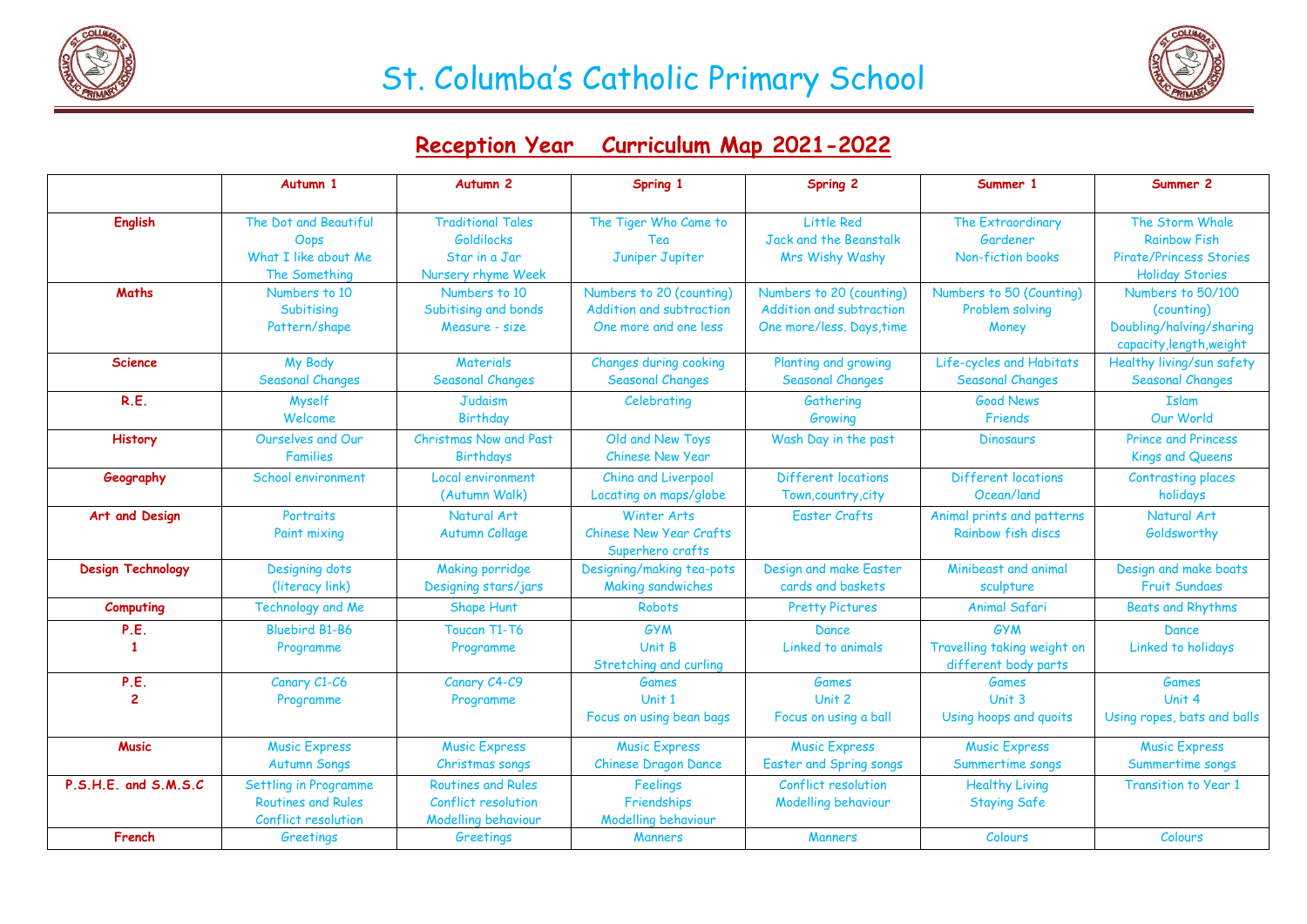

## St. Columba's Catholic Primary School



## **Reception Year Curriculum Map 2021-2022**

|                          | Autumn 1                  | Autumn <sub>2</sub>       | Spring 1                       | <b>Spring 2</b>                | Summer 1                    | Summer 2                       |
|--------------------------|---------------------------|---------------------------|--------------------------------|--------------------------------|-----------------------------|--------------------------------|
|                          |                           |                           |                                |                                |                             |                                |
| <b>English</b>           | The Dot and Beautiful     | <b>Traditional Tales</b>  | The Tiger Who Came to          | Little Red                     | The Extraordinary           | The Storm Whale                |
|                          | Oops                      | <b>Goldilocks</b>         | Tea                            | Jack and the Beanstalk         | Gardener                    | <b>Rainbow Fish</b>            |
|                          | What I like about Me      | Star in a Jar             | Juniper Jupiter                | Mrs Wishy Washy                | Non-fiction books           | <b>Pirate/Princess Stories</b> |
|                          | The Something             | Nursery rhyme Week        |                                |                                |                             | <b>Holiday Stories</b>         |
| Maths                    | Numbers to 10             | Numbers to 10             | Numbers to 20 (counting)       | Numbers to 20 (counting)       | Numbers to 50 (Counting)    | Numbers to 50/100              |
|                          | Subitising                | Subitising and bonds      | Addition and subtraction       | Addition and subtraction       | Problem solving             | (counting)                     |
|                          | Pattern/shape             | Measure - size            | One more and one less          | One more/less. Days, time      | Money                       | Doubling/halving/sharing       |
|                          |                           |                           |                                |                                |                             | capacity, length, weight       |
| <b>Science</b>           | My Body                   | <b>Materials</b>          | <b>Changes during cooking</b>  | Planting and growing           | Life-cycles and Habitats    | Healthy living/sun safety      |
|                          | <b>Seasonal Changes</b>   | <b>Seasonal Changes</b>   | <b>Seasonal Changes</b>        | <b>Seasonal Changes</b>        | <b>Seasonal Changes</b>     | <b>Seasonal Changes</b>        |
| R.E.                     | Myself                    | <b>Judaism</b>            | Celebrating                    | Gathering                      | <b>Good News</b>            | <b>Islam</b>                   |
|                          | Welcome                   | <b>Birthday</b>           |                                | Growing                        | Friends                     | Our World                      |
| <b>History</b>           | Ourselves and Our         | Christmas Now and Past    | Old and New Toys               | Wash Day in the past           | <b>Dinosaurs</b>            | <b>Prince and Princess</b>     |
|                          | <b>Families</b>           | Birthdays                 | <b>Chinese New Year</b>        |                                |                             | <b>Kings and Queens</b>        |
| Geography                | School environment        | Local environment         | China and Liverpool            | Different locations            | Different locations         | <b>Contrasting places</b>      |
|                          |                           | (Autumn Walk)             | Locating on maps/globe         | Town, country, city            | Ocean/land                  | holidays                       |
| Art and Design           | Portraits                 | Natural Art               | Winter Arts                    | <b>Easter Crafts</b>           | Animal prints and patterns  | Natural Art                    |
|                          | Paint mixing              | <b>Autumn Collage</b>     | <b>Chinese New Year Crafts</b> |                                | Rainbow fish discs          | Goldsworthy                    |
|                          |                           |                           | Superhero crafts               |                                |                             |                                |
| <b>Design Technology</b> | Designing dots            | <b>Making porridge</b>    | Designing/making tea-pots      | Design and make Easter         | Minibeast and animal        | Design and make boats          |
|                          | (literacy link)           | Designing stars/jars      | <b>Making sandwiches</b>       | cards and baskets              | sculpture                   | <b>Fruit Sundaes</b>           |
| Computing                | Technology and Me         | <b>Shape Hunt</b>         | <b>Robots</b>                  | <b>Pretty Pictures</b>         | Animal Safari               | <b>Beats and Rhythms</b>       |
| P.E.                     | <b>Bluebird B1-B6</b>     | Toucan T1-T6              | <b>GYM</b>                     | Dance                          | <b>GYM</b>                  | Dance                          |
| $\mathbf{1}$             | Programme                 | Programme                 | Unit B                         | Linked to animals              | Travelling taking weight on | Linked to holidays             |
|                          |                           |                           | Stretching and curling         |                                | different body parts        |                                |
| P.E.                     | Canary C1-C6              | Canary C4-C9              | <b>Games</b>                   | <b>Games</b>                   | <b>Games</b>                | <b>Games</b>                   |
| $\overline{2}$           | Programme                 | Programme                 | Unit 1                         | Unit 2                         | Unit 3                      | Unit 4                         |
|                          |                           |                           | Focus on using bean bags       | Focus on using a ball          | Using hoops and quoits      | Using ropes, bats and balls    |
| <b>Music</b>             | <b>Music Express</b>      | <b>Music Express</b>      | <b>Music Express</b>           | <b>Music Express</b>           | <b>Music Express</b>        | <b>Music Express</b>           |
|                          | <b>Autumn Songs</b>       | Christmas songs           | <b>Chinese Dragon Dance</b>    | <b>Easter and Spring songs</b> | Summertime songs            | Summertime songs               |
| P.S.H.E. and S.M.S.C     | Settling in Programme     | <b>Routines and Rules</b> | Feelings                       | Conflict resolution            | <b>Healthy Living</b>       | <b>Transition to Year 1</b>    |
|                          | <b>Routines and Rules</b> | Conflict resolution       | Friendships                    | Modelling behaviour            | <b>Staying Safe</b>         |                                |
|                          | Conflict resolution       | Modelling behaviour       | <b>Modelling behaviour</b>     |                                |                             |                                |
| French                   | Greetings                 | Greetings                 | <b>Manners</b>                 | <b>Manners</b>                 | Colours                     | Colours                        |